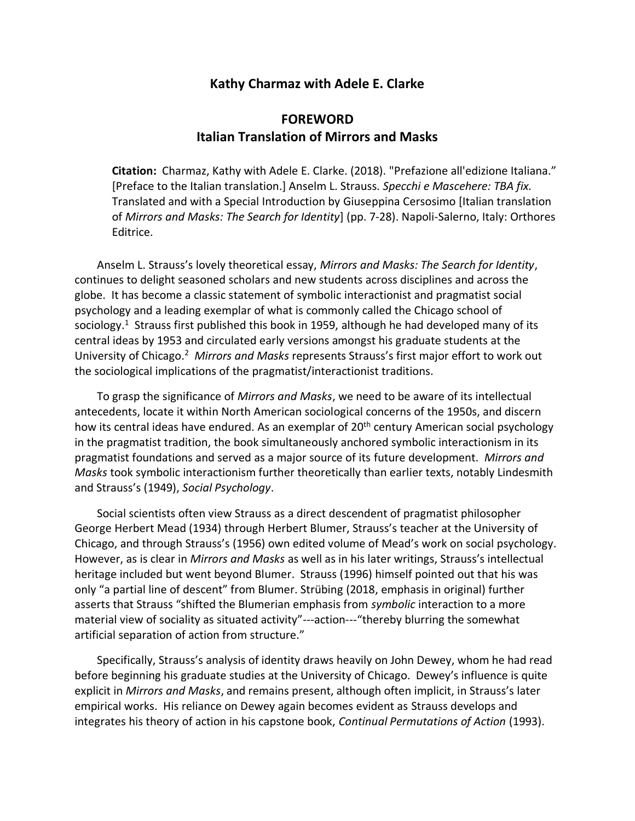## **Kathy Charmaz with Adele E. Clarke**

## **FOREWORD Italian Translation of Mirrors and Masks**

**Citation:** Charmaz, Kathy with Adele E. Clarke. (2018). "Prefazione all'edizione Italiana." [Preface to the Italian translation.] Anselm L. Strauss. *Specchi e Mascehere: TBA fix.*  Translated and with a Special Introduction by Giuseppina Cersosimo [Italian translation of *Mirrors and Masks: The Search for Identity*] (pp. 7-28). Napoli-Salerno, Italy: Orthores Editrice.

Anselm L. Strauss's lovely theoretical essay, *Mirrors and Masks: The Search for Identity*, continues to delight seasoned scholars and new students across disciplines and across the globe. It has become a classic statement of symbolic interactionist and pragmatist social psychology and a leading exemplar of what is commonly called the Chicago school of sociology.<sup>1</sup> Strauss first published this book in 1959, although he had developed many of its central ideas by 1953 and circulated early versions amongst his graduate students at the University of Chicago.<sup>2</sup> *Mirrors and Masks* represents Strauss's first major effort to work out the sociological implications of the pragmatist/interactionist traditions.

To grasp the significance of *Mirrors and Masks*, we need to be aware of its intellectual antecedents, locate it within North American sociological concerns of the 1950s, and discern how its central ideas have endured. As an exemplar of 20<sup>th</sup> century American social psychology in the pragmatist tradition, the book simultaneously anchored symbolic interactionism in its pragmatist foundations and served as a major source of its future development. *Mirrors and Masks* took symbolic interactionism further theoretically than earlier texts, notably Lindesmith and Strauss's (1949), *Social Psychology*.

Social scientists often view Strauss as a direct descendent of pragmatist philosopher George Herbert Mead (1934) through Herbert Blumer, Strauss's teacher at the University of Chicago, and through Strauss's (1956) own edited volume of Mead's work on social psychology. However, as is clear in *Mirrors and Masks* as well as in his later writings, Strauss's intellectual heritage included but went beyond Blumer. Strauss (1996) himself pointed out that his was only "a partial line of descent" from Blumer. Strübing (2018, emphasis in original) further asserts that Strauss "shifted the Blumerian emphasis from *symbolic* interaction to a more material view of sociality as situated activity"---action---"thereby blurring the somewhat artificial separation of action from structure."

Specifically, Strauss's analysis of identity draws heavily on John Dewey, whom he had read before beginning his graduate studies at the University of Chicago. Dewey's influence is quite explicit in *Mirrors and Masks*, and remains present, although often implicit, in Strauss's later empirical works. His reliance on Dewey again becomes evident as Strauss develops and integrates his theory of action in his capstone book, *Continual Permutations of Action* (1993).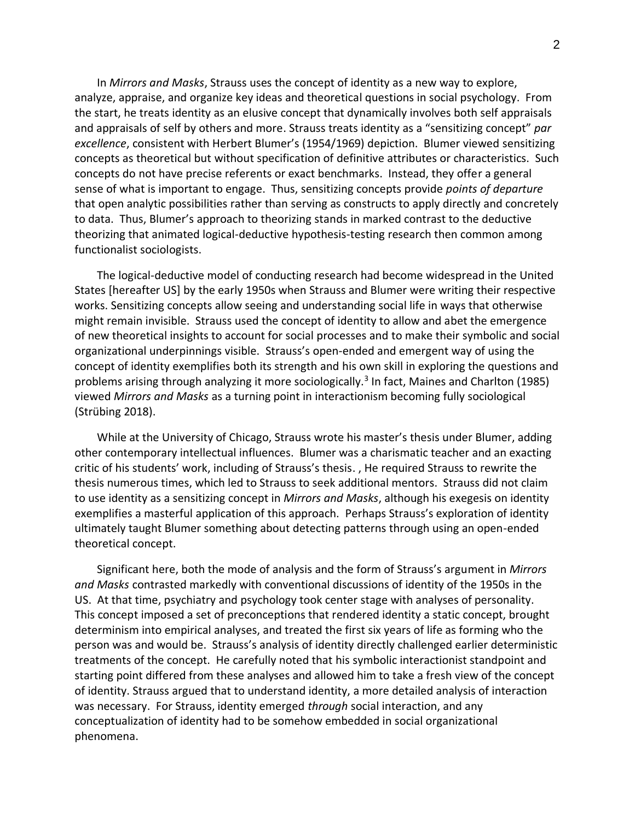In *Mirrors and Masks*, Strauss uses the concept of identity as a new way to explore, analyze, appraise, and organize key ideas and theoretical questions in social psychology. From the start, he treats identity as an elusive concept that dynamically involves both self appraisals and appraisals of self by others and more. Strauss treats identity as a "sensitizing concept" *par excellence*, consistent with Herbert Blumer's (1954/1969) depiction. Blumer viewed sensitizing concepts as theoretical but without specification of definitive attributes or characteristics. Such concepts do not have precise referents or exact benchmarks. Instead, they offer a general sense of what is important to engage. Thus, sensitizing concepts provide *points of departure* that open analytic possibilities rather than serving as constructs to apply directly and concretely to data. Thus, Blumer's approach to theorizing stands in marked contrast to the deductive theorizing that animated logical-deductive hypothesis-testing research then common among functionalist sociologists.

The logical-deductive model of conducting research had become widespread in the United States [hereafter US] by the early 1950s when Strauss and Blumer were writing their respective works. Sensitizing concepts allow seeing and understanding social life in ways that otherwise might remain invisible. Strauss used the concept of identity to allow and abet the emergence of new theoretical insights to account for social processes and to make their symbolic and social organizational underpinnings visible. Strauss's open-ended and emergent way of using the concept of identity exemplifies both its strength and his own skill in exploring the questions and problems arising through analyzing it more sociologically.<sup>3</sup> In fact, Maines and Charlton (1985) viewed *Mirrors and Masks* as a turning point in interactionism becoming fully sociological (Strübing 2018).

While at the University of Chicago, Strauss wrote his master's thesis under Blumer, adding other contemporary intellectual influences. Blumer was a charismatic teacher and an exacting critic of his students' work, including of Strauss's thesis. , He required Strauss to rewrite the thesis numerous times, which led to Strauss to seek additional mentors. Strauss did not claim to use identity as a sensitizing concept in *Mirrors and Masks*, although his exegesis on identity exemplifies a masterful application of this approach. Perhaps Strauss's exploration of identity ultimately taught Blumer something about detecting patterns through using an open-ended theoretical concept.

Significant here, both the mode of analysis and the form of Strauss's argument in *Mirrors and Masks* contrasted markedly with conventional discussions of identity of the 1950s in the US. At that time, psychiatry and psychology took center stage with analyses of personality. This concept imposed a set of preconceptions that rendered identity a static concept, brought determinism into empirical analyses, and treated the first six years of life as forming who the person was and would be. Strauss's analysis of identity directly challenged earlier deterministic treatments of the concept. He carefully noted that his symbolic interactionist standpoint and starting point differed from these analyses and allowed him to take a fresh view of the concept of identity. Strauss argued that to understand identity, a more detailed analysis of interaction was necessary. For Strauss, identity emerged *through* social interaction, and any conceptualization of identity had to be somehow embedded in social organizational phenomena.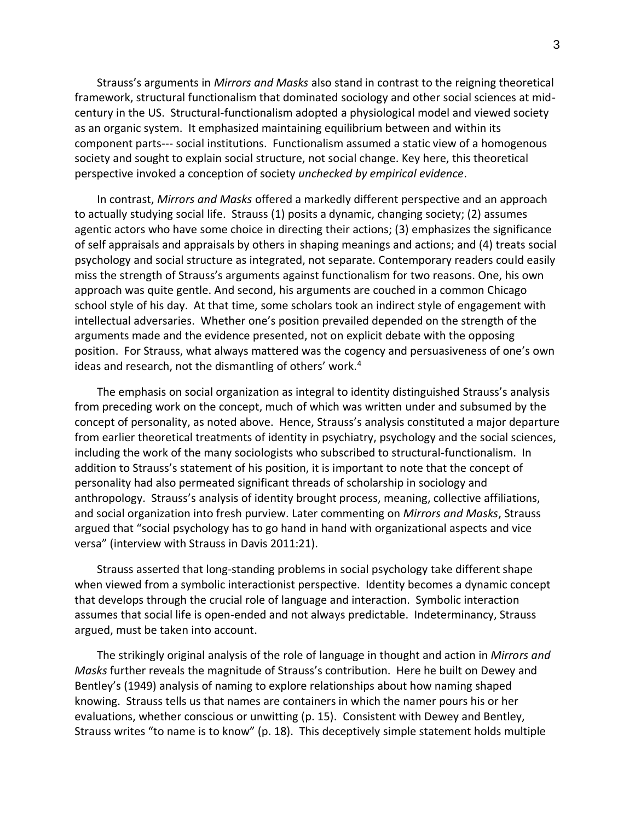Strauss's arguments in *Mirrors and Masks* also stand in contrast to the reigning theoretical framework, structural functionalism that dominated sociology and other social sciences at midcentury in the US. Structural-functionalism adopted a physiological model and viewed society as an organic system. It emphasized maintaining equilibrium between and within its component parts--- social institutions. Functionalism assumed a static view of a homogenous society and sought to explain social structure, not social change. Key here, this theoretical perspective invoked a conception of society *unchecked by empirical evidence*.

In contrast, *Mirrors and Masks* offered a markedly different perspective and an approach to actually studying social life. Strauss (1) posits a dynamic, changing society; (2) assumes agentic actors who have some choice in directing their actions; (3) emphasizes the significance of self appraisals and appraisals by others in shaping meanings and actions; and (4) treats social psychology and social structure as integrated, not separate. Contemporary readers could easily miss the strength of Strauss's arguments against functionalism for two reasons. One, his own approach was quite gentle. And second, his arguments are couched in a common Chicago school style of his day. At that time, some scholars took an indirect style of engagement with intellectual adversaries. Whether one's position prevailed depended on the strength of the arguments made and the evidence presented, not on explicit debate with the opposing position. For Strauss, what always mattered was the cogency and persuasiveness of one's own ideas and research, not the dismantling of others' work.<sup>4</sup>

The emphasis on social organization as integral to identity distinguished Strauss's analysis from preceding work on the concept, much of which was written under and subsumed by the concept of personality, as noted above. Hence, Strauss's analysis constituted a major departure from earlier theoretical treatments of identity in psychiatry, psychology and the social sciences, including the work of the many sociologists who subscribed to structural-functionalism. In addition to Strauss's statement of his position, it is important to note that the concept of personality had also permeated significant threads of scholarship in sociology and anthropology. Strauss's analysis of identity brought process, meaning, collective affiliations, and social organization into fresh purview. Later commenting on *Mirrors and Masks*, Strauss argued that "social psychology has to go hand in hand with organizational aspects and vice versa" (interview with Strauss in Davis 2011:21).

Strauss asserted that long-standing problems in social psychology take different shape when viewed from a symbolic interactionist perspective. Identity becomes a dynamic concept that develops through the crucial role of language and interaction. Symbolic interaction assumes that social life is open-ended and not always predictable. Indeterminancy, Strauss argued, must be taken into account.

The strikingly original analysis of the role of language in thought and action in *Mirrors and Masks* further reveals the magnitude of Strauss's contribution. Here he built on Dewey and Bentley's (1949) analysis of naming to explore relationships about how naming shaped knowing. Strauss tells us that names are containers in which the namer pours his or her evaluations, whether conscious or unwitting (p. 15). Consistent with Dewey and Bentley, Strauss writes "to name is to know" (p. 18). This deceptively simple statement holds multiple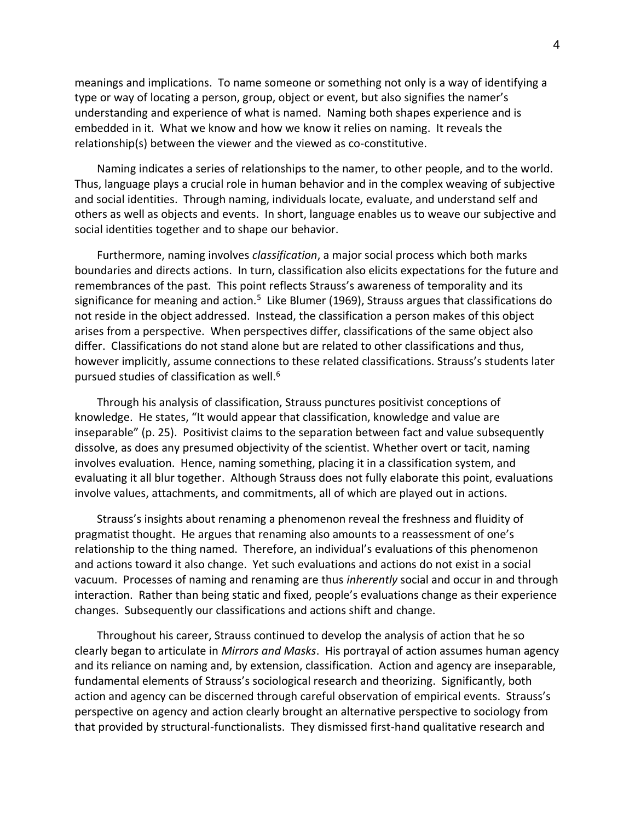meanings and implications. To name someone or something not only is a way of identifying a type or way of locating a person, group, object or event, but also signifies the namer's understanding and experience of what is named. Naming both shapes experience and is embedded in it. What we know and how we know it relies on naming. It reveals the relationship(s) between the viewer and the viewed as co-constitutive.

Naming indicates a series of relationships to the namer, to other people, and to the world. Thus, language plays a crucial role in human behavior and in the complex weaving of subjective and social identities. Through naming, individuals locate, evaluate, and understand self and others as well as objects and events. In short, language enables us to weave our subjective and social identities together and to shape our behavior.

Furthermore, naming involves *classification*, a major social process which both marks boundaries and directs actions. In turn, classification also elicits expectations for the future and remembrances of the past. This point reflects Strauss's awareness of temporality and its significance for meaning and action.<sup>5</sup> Like Blumer (1969), Strauss argues that classifications do not reside in the object addressed. Instead, the classification a person makes of this object arises from a perspective. When perspectives differ, classifications of the same object also differ. Classifications do not stand alone but are related to other classifications and thus, however implicitly, assume connections to these related classifications. Strauss's students later pursued studies of classification as well.<sup>6</sup>

Through his analysis of classification, Strauss punctures positivist conceptions of knowledge. He states, "It would appear that classification, knowledge and value are inseparable" (p. 25). Positivist claims to the separation between fact and value subsequently dissolve, as does any presumed objectivity of the scientist. Whether overt or tacit, naming involves evaluation. Hence, naming something, placing it in a classification system, and evaluating it all blur together. Although Strauss does not fully elaborate this point, evaluations involve values, attachments, and commitments, all of which are played out in actions.

Strauss's insights about renaming a phenomenon reveal the freshness and fluidity of pragmatist thought. He argues that renaming also amounts to a reassessment of one's relationship to the thing named. Therefore, an individual's evaluations of this phenomenon and actions toward it also change. Yet such evaluations and actions do not exist in a social vacuum. Processes of naming and renaming are thus *inherently* social and occur in and through interaction. Rather than being static and fixed, people's evaluations change as their experience changes. Subsequently our classifications and actions shift and change.

Throughout his career, Strauss continued to develop the analysis of action that he so clearly began to articulate in *Mirrors and Masks*. His portrayal of action assumes human agency and its reliance on naming and, by extension, classification. Action and agency are inseparable, fundamental elements of Strauss's sociological research and theorizing. Significantly, both action and agency can be discerned through careful observation of empirical events. Strauss's perspective on agency and action clearly brought an alternative perspective to sociology from that provided by structural-functionalists. They dismissed first-hand qualitative research and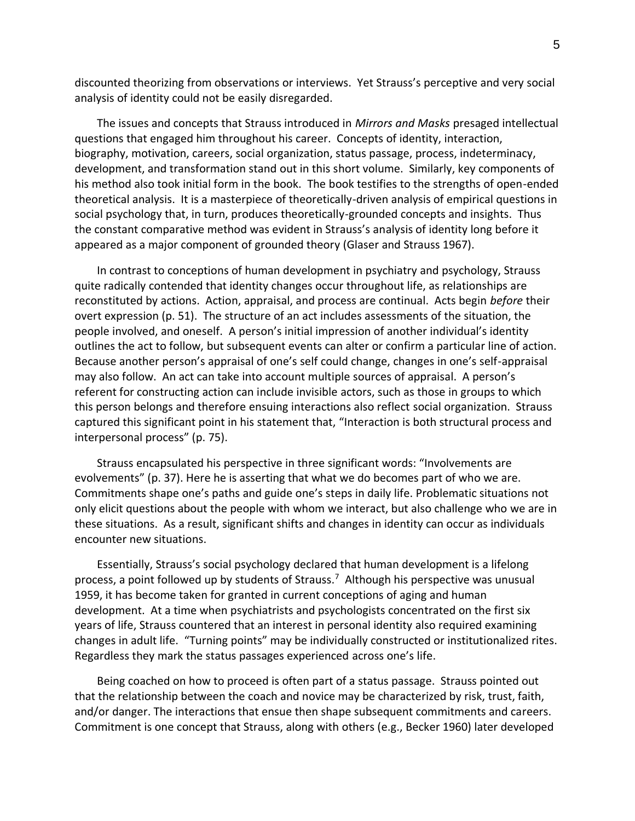discounted theorizing from observations or interviews. Yet Strauss's perceptive and very social analysis of identity could not be easily disregarded.

The issues and concepts that Strauss introduced in *Mirrors and Masks* presaged intellectual questions that engaged him throughout his career. Concepts of identity, interaction, biography, motivation, careers, social organization, status passage, process, indeterminacy, development, and transformation stand out in this short volume. Similarly, key components of his method also took initial form in the book. The book testifies to the strengths of open-ended theoretical analysis. It is a masterpiece of theoretically-driven analysis of empirical questions in social psychology that, in turn, produces theoretically-grounded concepts and insights. Thus the constant comparative method was evident in Strauss's analysis of identity long before it appeared as a major component of grounded theory (Glaser and Strauss 1967).

In contrast to conceptions of human development in psychiatry and psychology, Strauss quite radically contended that identity changes occur throughout life, as relationships are reconstituted by actions. Action, appraisal, and process are continual. Acts begin *before* their overt expression (p. 51). The structure of an act includes assessments of the situation, the people involved, and oneself. A person's initial impression of another individual's identity outlines the act to follow, but subsequent events can alter or confirm a particular line of action. Because another person's appraisal of one's self could change, changes in one's self-appraisal may also follow. An act can take into account multiple sources of appraisal. A person's referent for constructing action can include invisible actors, such as those in groups to which this person belongs and therefore ensuing interactions also reflect social organization. Strauss captured this significant point in his statement that, "Interaction is both structural process and interpersonal process" (p. 75).

Strauss encapsulated his perspective in three significant words: "Involvements are evolvements" (p. 37). Here he is asserting that what we do becomes part of who we are. Commitments shape one's paths and guide one's steps in daily life. Problematic situations not only elicit questions about the people with whom we interact, but also challenge who we are in these situations. As a result, significant shifts and changes in identity can occur as individuals encounter new situations.

Essentially, Strauss's social psychology declared that human development is a lifelong process, a point followed up by students of Strauss.<sup>7</sup> Although his perspective was unusual 1959, it has become taken for granted in current conceptions of aging and human development. At a time when psychiatrists and psychologists concentrated on the first six years of life, Strauss countered that an interest in personal identity also required examining changes in adult life. "Turning points" may be individually constructed or institutionalized rites. Regardless they mark the status passages experienced across one's life.

Being coached on how to proceed is often part of a status passage. Strauss pointed out that the relationship between the coach and novice may be characterized by risk, trust, faith, and/or danger. The interactions that ensue then shape subsequent commitments and careers. Commitment is one concept that Strauss, along with others (e.g., Becker 1960) later developed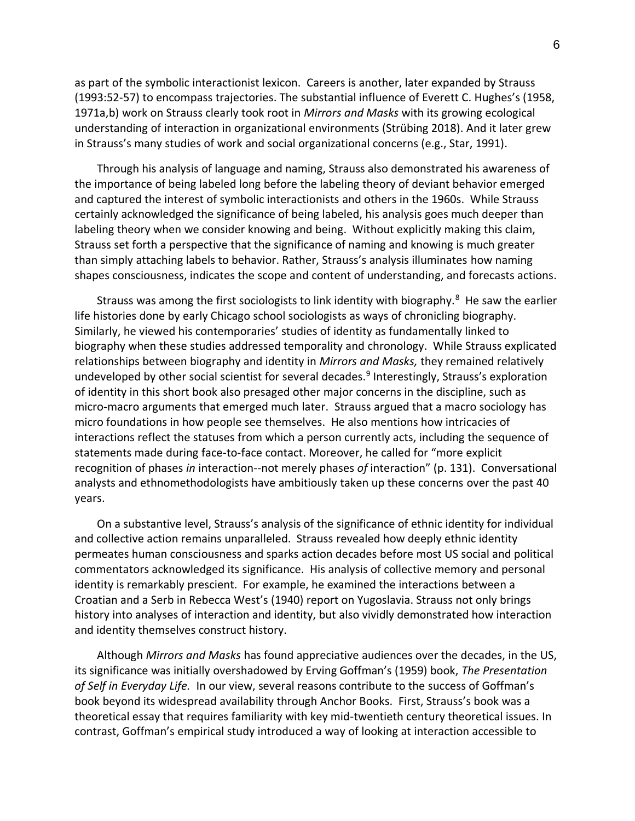as part of the symbolic interactionist lexicon. Careers is another, later expanded by Strauss (1993:52-57) to encompass trajectories. The substantial influence of Everett C. Hughes's (1958, 1971a,b) work on Strauss clearly took root in *Mirrors and Masks* with its growing ecological understanding of interaction in organizational environments (Strübing 2018). And it later grew in Strauss's many studies of work and social organizational concerns (e.g., Star, 1991).

Through his analysis of language and naming, Strauss also demonstrated his awareness of the importance of being labeled long before the labeling theory of deviant behavior emerged and captured the interest of symbolic interactionists and others in the 1960s. While Strauss certainly acknowledged the significance of being labeled, his analysis goes much deeper than labeling theory when we consider knowing and being. Without explicitly making this claim, Strauss set forth a perspective that the significance of naming and knowing is much greater than simply attaching labels to behavior. Rather, Strauss's analysis illuminates how naming shapes consciousness, indicates the scope and content of understanding, and forecasts actions.

Strauss was among the first sociologists to link identity with biography.<sup>8</sup> He saw the earlier life histories done by early Chicago school sociologists as ways of chronicling biography. Similarly, he viewed his contemporaries' studies of identity as fundamentally linked to biography when these studies addressed temporality and chronology. While Strauss explicated relationships between biography and identity in *Mirrors and Masks,* they remained relatively undeveloped by other social scientist for several decades.<sup>9</sup> Interestingly, Strauss's exploration of identity in this short book also presaged other major concerns in the discipline, such as micro-macro arguments that emerged much later. Strauss argued that a macro sociology has micro foundations in how people see themselves. He also mentions how intricacies of interactions reflect the statuses from which a person currently acts, including the sequence of statements made during face-to-face contact. Moreover, he called for "more explicit recognition of phases *in* interaction--not merely phases *of* interaction" (p. 131). Conversational analysts and ethnomethodologists have ambitiously taken up these concerns over the past 40 years.

On a substantive level, Strauss's analysis of the significance of ethnic identity for individual and collective action remains unparalleled. Strauss revealed how deeply ethnic identity permeates human consciousness and sparks action decades before most US social and political commentators acknowledged its significance. His analysis of collective memory and personal identity is remarkably prescient. For example, he examined the interactions between a Croatian and a Serb in Rebecca West's (1940) report on Yugoslavia. Strauss not only brings history into analyses of interaction and identity, but also vividly demonstrated how interaction and identity themselves construct history.

Although *Mirrors and Masks* has found appreciative audiences over the decades, in the US, its significance was initially overshadowed by Erving Goffman's (1959) book, *The Presentation of Self in Everyday Life.* In our view, several reasons contribute to the success of Goffman's book beyond its widespread availability through Anchor Books. First, Strauss's book was a theoretical essay that requires familiarity with key mid-twentieth century theoretical issues. In contrast, Goffman's empirical study introduced a way of looking at interaction accessible to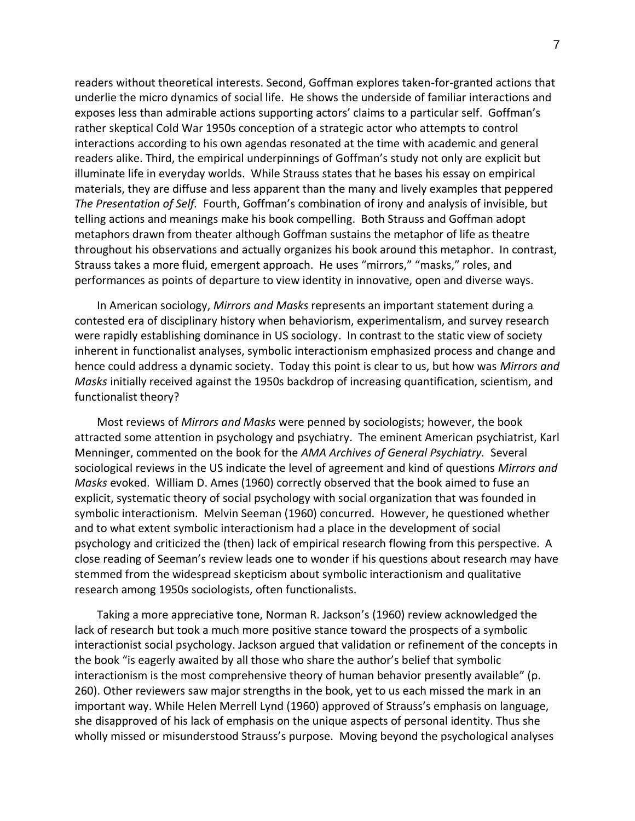readers without theoretical interests. Second, Goffman explores taken-for-granted actions that underlie the micro dynamics of social life. He shows the underside of familiar interactions and exposes less than admirable actions supporting actors' claims to a particular self. Goffman's rather skeptical Cold War 1950s conception of a strategic actor who attempts to control interactions according to his own agendas resonated at the time with academic and general readers alike. Third, the empirical underpinnings of Goffman's study not only are explicit but illuminate life in everyday worlds. While Strauss states that he bases his essay on empirical materials, they are diffuse and less apparent than the many and lively examples that peppered *The Presentation of Self.* Fourth, Goffman's combination of irony and analysis of invisible, but telling actions and meanings make his book compelling. Both Strauss and Goffman adopt metaphors drawn from theater although Goffman sustains the metaphor of life as theatre throughout his observations and actually organizes his book around this metaphor. In contrast, Strauss takes a more fluid, emergent approach. He uses "mirrors," "masks," roles, and performances as points of departure to view identity in innovative, open and diverse ways.

In American sociology, *Mirrors and Masks* represents an important statement during a contested era of disciplinary history when behaviorism, experimentalism, and survey research were rapidly establishing dominance in US sociology. In contrast to the static view of society inherent in functionalist analyses, symbolic interactionism emphasized process and change and hence could address a dynamic society. Today this point is clear to us, but how was *Mirrors and Masks* initially received against the 1950s backdrop of increasing quantification, scientism, and functionalist theory?

Most reviews of *Mirrors and Masks* were penned by sociologists; however, the book attracted some attention in psychology and psychiatry. The eminent American psychiatrist, Karl Menninger, commented on the book for the *AMA Archives of General Psychiatry.* Several sociological reviews in the US indicate the level of agreement and kind of questions *Mirrors and Masks* evoked. William D. Ames (1960) correctly observed that the book aimed to fuse an explicit, systematic theory of social psychology with social organization that was founded in symbolic interactionism. Melvin Seeman (1960) concurred. However, he questioned whether and to what extent symbolic interactionism had a place in the development of social psychology and criticized the (then) lack of empirical research flowing from this perspective. A close reading of Seeman's review leads one to wonder if his questions about research may have stemmed from the widespread skepticism about symbolic interactionism and qualitative research among 1950s sociologists, often functionalists.

Taking a more appreciative tone, Norman R. Jackson's (1960) review acknowledged the lack of research but took a much more positive stance toward the prospects of a symbolic interactionist social psychology. Jackson argued that validation or refinement of the concepts in the book "is eagerly awaited by all those who share the author's belief that symbolic interactionism is the most comprehensive theory of human behavior presently available" (p. 260). Other reviewers saw major strengths in the book, yet to us each missed the mark in an important way. While Helen Merrell Lynd (1960) approved of Strauss's emphasis on language, she disapproved of his lack of emphasis on the unique aspects of personal identity. Thus she wholly missed or misunderstood Strauss's purpose. Moving beyond the psychological analyses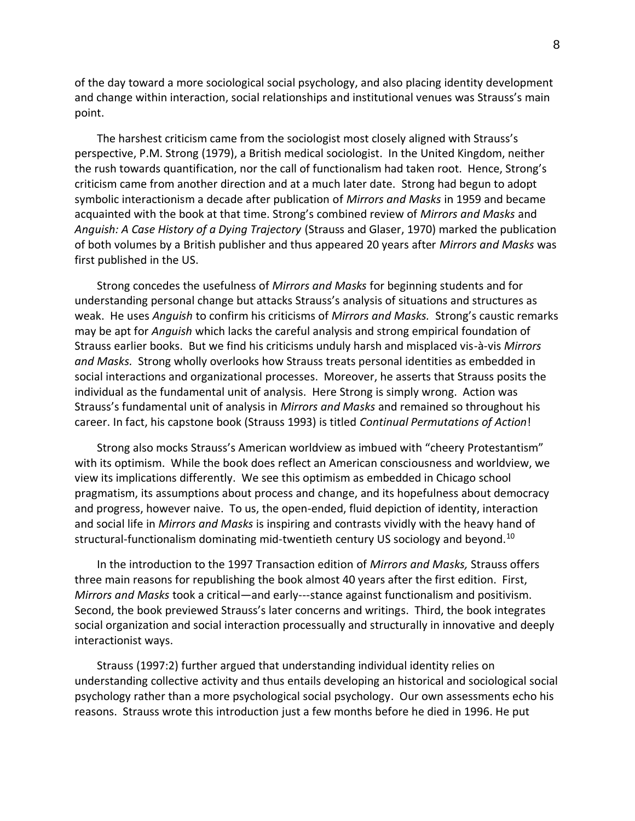of the day toward a more sociological social psychology, and also placing identity development and change within interaction, social relationships and institutional venues was Strauss's main point.

The harshest criticism came from the sociologist most closely aligned with Strauss's perspective, P.M. Strong (1979), a British medical sociologist. In the United Kingdom, neither the rush towards quantification, nor the call of functionalism had taken root. Hence, Strong's criticism came from another direction and at a much later date. Strong had begun to adopt symbolic interactionism a decade after publication of *Mirrors and Masks* in 1959 and became acquainted with the book at that time. Strong's combined review of *Mirrors and Masks* and *Anguish: A Case History of a Dying Trajectory* (Strauss and Glaser, 1970) marked the publication of both volumes by a British publisher and thus appeared 20 years after *Mirrors and Masks* was first published in the US.

Strong concedes the usefulness of *Mirrors and Masks* for beginning students and for understanding personal change but attacks Strauss's analysis of situations and structures as weak. He uses *Anguish* to confirm his criticisms of *Mirrors and Masks.* Strong's caustic remarks may be apt for *Anguish* which lacks the careful analysis and strong empirical foundation of Strauss earlier books. But we find his criticisms unduly harsh and misplaced vis-à-vis *Mirrors and Masks.* Strong wholly overlooks how Strauss treats personal identities as embedded in social interactions and organizational processes. Moreover, he asserts that Strauss posits the individual as the fundamental unit of analysis. Here Strong is simply wrong. Action was Strauss's fundamental unit of analysis in *Mirrors and Masks* and remained so throughout his career. In fact, his capstone book (Strauss 1993) is titled *Continual Permutations of Action*!

Strong also mocks Strauss's American worldview as imbued with "cheery Protestantism" with its optimism. While the book does reflect an American consciousness and worldview, we view its implications differently. We see this optimism as embedded in Chicago school pragmatism, its assumptions about process and change, and its hopefulness about democracy and progress, however naive. To us, the open-ended, fluid depiction of identity, interaction and social life in *Mirrors and Masks* is inspiring and contrasts vividly with the heavy hand of structural-functionalism dominating mid-twentieth century US sociology and beyond.<sup>10</sup>

In the introduction to the 1997 Transaction edition of *Mirrors and Masks,* Strauss offers three main reasons for republishing the book almost 40 years after the first edition. First, *Mirrors and Masks* took a critical—and early---stance against functionalism and positivism. Second, the book previewed Strauss's later concerns and writings. Third, the book integrates social organization and social interaction processually and structurally in innovative and deeply interactionist ways.

Strauss (1997:2) further argued that understanding individual identity relies on understanding collective activity and thus entails developing an historical and sociological social psychology rather than a more psychological social psychology. Our own assessments echo his reasons. Strauss wrote this introduction just a few months before he died in 1996. He put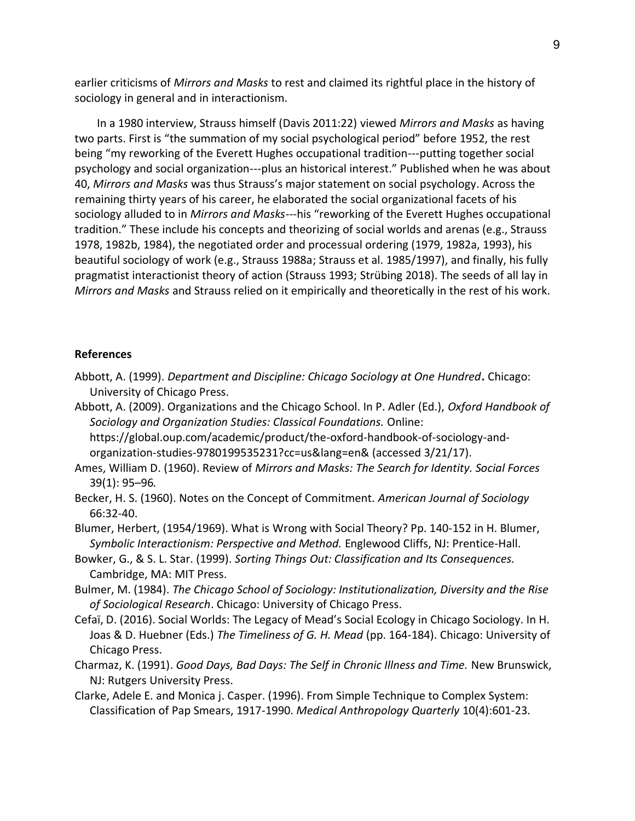earlier criticisms of *Mirrors and Masks* to rest and claimed its rightful place in the history of sociology in general and in interactionism.

In a 1980 interview, Strauss himself (Davis 2011:22) viewed *Mirrors and Masks* as having two parts. First is "the summation of my social psychological period" before 1952, the rest being "my reworking of the Everett Hughes occupational tradition---putting together social psychology and social organization---plus an historical interest." Published when he was about 40, *Mirrors and Masks* was thus Strauss's major statement on social psychology. Across the remaining thirty years of his career, he elaborated the social organizational facets of his sociology alluded to in *Mirrors and Masks*---his "reworking of the Everett Hughes occupational tradition." These include his concepts and theorizing of social worlds and arenas (e.g., Strauss 1978, 1982b, 1984), the negotiated order and processual ordering (1979, 1982a, 1993), his beautiful sociology of work (e.g., Strauss 1988a; Strauss et al. 1985/1997), and finally, his fully pragmatist interactionist theory of action (Strauss 1993; Strübing 2018). The seeds of all lay in *Mirrors and Masks* and Strauss relied on it empirically and theoretically in the rest of his work.

## **References**

- Abbott, A. (1999). *Department and Discipline: Chicago Sociology at One Hundred***.** Chicago: University of Chicago Press.
- Abbott, A. (2009). Organizations and the Chicago School. In P. Adler (Ed.), *Oxford Handbook of Sociology and Organization Studies: Classical Foundations.* Online: https://global.oup.com/academic/product/the-oxford-handbook-of-sociology-andorganization-studies-9780199535231?cc=us&lang=en& (accessed 3/21/17).

Ames, William D. (1960). Review of *Mirrors and Masks: The Search for Identity. Social Forces*  39(1): 95–96*.*

Becker, H. S. (1960). Notes on the Concept of Commitment. *American Journal of Sociology*  66:32-40.

Blumer, Herbert, (1954/1969). What is Wrong with Social Theory? Pp. 140-152 in H. Blumer, *Symbolic Interactionism: Perspective and Method.* Englewood Cliffs, NJ: Prentice-Hall.

Bowker, G., & S. L. Star. (1999). *Sorting Things Out: Classification and Its Consequences.* Cambridge, MA: MIT Press.

- Bulmer, M. (1984). *The Chicago School of Sociology: Institutionalization, Diversity and the Rise of Sociological Research*. Chicago: University of Chicago Press.
- Cefaï, D. (2016). Social Worlds: The Legacy of Mead's Social Ecology in Chicago Sociology. In H. Joas & D. Huebner (Eds.) *The Timeliness of G. H. Mead* (pp. 164-184). Chicago: University of Chicago Press.
- Charmaz, K. (1991). *Good Days, Bad Days: The Self in Chronic Illness and Time.* New Brunswick, NJ: Rutgers University Press.

Clarke, Adele E. and Monica j. Casper. (1996). From Simple Technique to Complex System: Classification of Pap Smears, 1917-1990. *Medical Anthropology Quarterly* 10(4):601-23.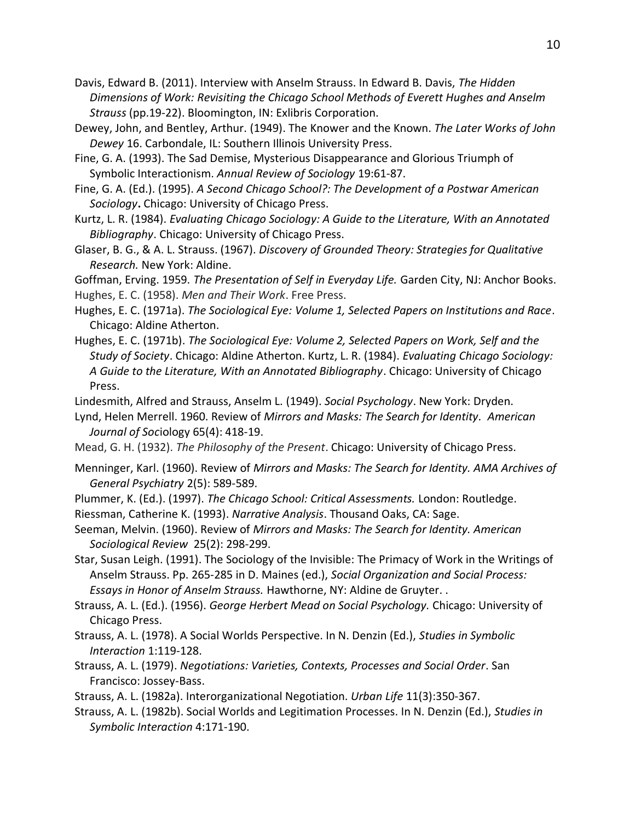Davis, Edward B. (2011). Interview with Anselm Strauss. In Edward B. Davis, *The Hidden Dimensions of Work: Revisiting the Chicago School Methods of Everett Hughes and Anselm Strauss* (pp.19-22). Bloomington, IN: Exlibris Corporation.

Dewey, John, and Bentley, Arthur. (1949). The Knower and the Known. *The Later Works of John Dewey* 16. Carbondale, IL: Southern Illinois University Press.

Fine, G. A. (1993). The Sad Demise, Mysterious Disappearance and Glorious Triumph of Symbolic Interactionism. *Annual Review of Sociology* 19:61-87.

Fine, G. A. (Ed.). (1995). *A Second Chicago School?: The Development of a Postwar American Sociology***.** Chicago: University of Chicago Press.

Kurtz, L. R. (1984). *Evaluating Chicago Sociology: A Guide to the Literature, With an Annotated Bibliography*. Chicago: University of Chicago Press.

Glaser, B. G., & A. L. Strauss. (1967). *Discovery of Grounded Theory: Strategies for Qualitative Research.* New York: Aldine.

Goffman, Erving. 1959. *The Presentation of Self in Everyday Life.* Garden City, NJ: Anchor Books. Hughes, E. C. (1958). *Men and Their Work*. Free Press.

Hughes, E. C. (1971a). *The Sociological Eye: Volume 1, Selected Papers on Institutions and Race*. Chicago: Aldine Atherton.

Hughes, E. C. (1971b). *The Sociological Eye: Volume 2, Selected Papers on Work, Self and the Study of Society*. Chicago: Aldine Atherton. Kurtz, L. R. (1984). *Evaluating Chicago Sociology: A Guide to the Literature, With an Annotated Bibliography*. Chicago: University of Chicago Press.

Lindesmith, Alfred and Strauss, Anselm L. (1949). *Social Psychology*. New York: Dryden.

Lynd, Helen Merrell. 1960. Review of *Mirrors and Masks: The Search for Identity. American Journal of Soc*iology 65(4): 418-19.

Mead, G. H. (1932). *The Philosophy of the Present*. Chicago: University of Chicago Press.

Menninger, Karl. (1960). Review of *Mirrors and Masks: The Search for Identity. AMA Archives of General Psychiatry* 2(5): 589-589.

Plummer, K. (Ed.). (1997). *The Chicago School: Critical Assessments.* London: Routledge.

Riessman, Catherine K. (1993). *Narrative Analysis*. Thousand Oaks, CA: Sage.

Seeman, Melvin. (1960). Review of *Mirrors and Masks: The Search for Identity. American Sociological Review* 25(2): 298-299.

Star, Susan Leigh. (1991). The Sociology of the Invisible: The Primacy of Work in the Writings of Anselm Strauss. Pp. 265-285 in D. Maines (ed.), *Social Organization and Social Process: Essays in Honor of Anselm Strauss.* Hawthorne, NY: Aldine de Gruyter. .

Strauss, A. L. (Ed.). (1956). *George Herbert Mead on Social Psychology.* Chicago: University of Chicago Press.

Strauss, A. L. (1978). A Social Worlds Perspective. In N. Denzin (Ed.), *Studies in Symbolic Interaction* 1:119-128.

Strauss, A. L. (1979). *Negotiations: Varieties, Contexts, Processes and Social Order*. San Francisco: Jossey-Bass.

Strauss, A. L. (1982a). Interorganizational Negotiation. *Urban Life* 11(3):350-367.

Strauss, A. L. (1982b). Social Worlds and Legitimation Processes. In N. Denzin (Ed.), *Studies in Symbolic Interaction* 4:171-190.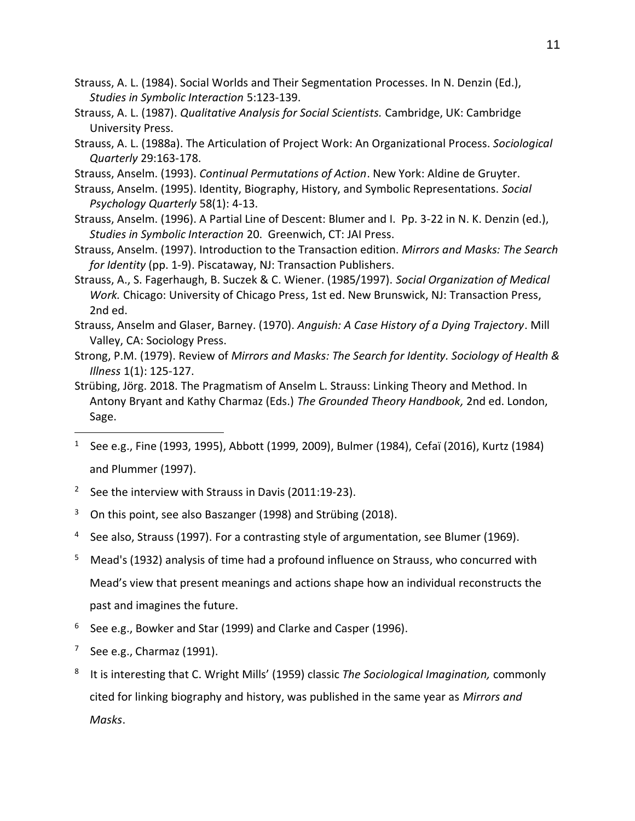Strauss, A. L. (1984). Social Worlds and Their Segmentation Processes. In N. Denzin (Ed.), *Studies in Symbolic Interaction* 5:123-139.

- Strauss, A. L. (1987). *Qualitative Analysis for Social Scientists.* Cambridge, UK: Cambridge University Press.
- Strauss, A. L. (1988a). The Articulation of Project Work: An Organizational Process. *Sociological Quarterly* 29:163-178.
- Strauss, Anselm. (1993). *Continual Permutations of Action*. New York: Aldine de Gruyter.
- Strauss, Anselm. (1995). Identity, Biography, History, and Symbolic Representations. *Social Psychology Quarterly* 58(1): 4-13.
- Strauss, Anselm. (1996). A Partial Line of Descent: Blumer and I. Pp. 3-22 in N. K. Denzin (ed.), *Studies in Symbolic Interaction* 20. Greenwich, CT: JAI Press.
- Strauss, Anselm. (1997). Introduction to the Transaction edition. *Mirrors and Masks: The Search for Identity* (pp. 1-9). Piscataway, NJ: Transaction Publishers.
- Strauss, A., S. Fagerhaugh, B. Suczek & C. Wiener. (1985/1997). *Social Organization of Medical Work.* Chicago: University of Chicago Press, 1st ed. New Brunswick, NJ: Transaction Press, 2nd ed.
- Strauss, Anselm and Glaser, Barney. (1970). *Anguish: A Case History of a Dying Trajectory*. Mill Valley, CA: Sociology Press.
- Strong, P.M. (1979). Review of *Mirrors and Masks: The Search for Identity. Sociology of Health & Illness* 1(1): 125-127.
- Strübing, Jörg. 2018. The Pragmatism of Anselm L. Strauss: Linking Theory and Method. In Antony Bryant and Kathy Charmaz (Eds.) *The Grounded Theory Handbook,* 2nd ed. London, Sage.
- 1 See e.g., Fine (1993, 1995), Abbott (1999, 2009), Bulmer (1984), Cefaï (2016), Kurtz (1984) and Plummer (1997).
- <sup>2</sup> See the interview with Strauss in Davis (2011:19-23).
- $3$  On this point, see also Baszanger (1998) and Strübing (2018).
- <sup>4</sup> See also, Strauss (1997). For a contrasting style of argumentation, see Blumer (1969).
- 5 Mead's (1932) analysis of time had a profound influence on Strauss, who concurred with Mead's view that present meanings and actions shape how an individual reconstructs the past and imagines the future.
- 6 See e.g., Bowker and Star (1999) and Clarke and Casper (1996).
- 7 See e.g., Charmaz (1991).
- 8 It is interesting that C. Wright Mills' (1959) classic *The Sociological Imagination,* commonly cited for linking biography and history, was published in the same year as *Mirrors and Masks*.